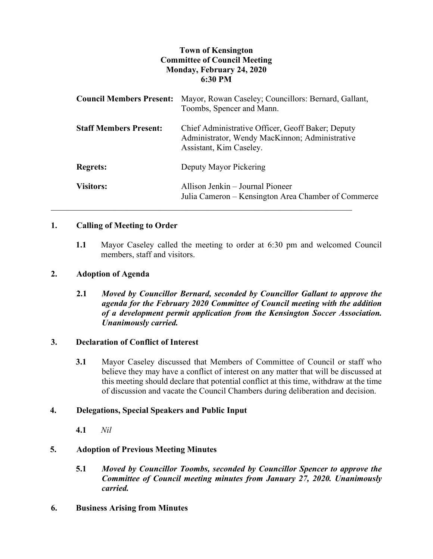## **Town of Kensington Committee of Council Meeting Monday, February 24, 2020 6:30 PM**

| <b>Council Members Present:</b> | Mayor, Rowan Caseley; Councillors: Bernard, Gallant,<br>Toombs, Spencer and Mann.                                              |
|---------------------------------|--------------------------------------------------------------------------------------------------------------------------------|
| <b>Staff Members Present:</b>   | Chief Administrative Officer, Geoff Baker; Deputy<br>Administrator, Wendy MacKinnon; Administrative<br>Assistant, Kim Caseley. |
| <b>Regrets:</b>                 | Deputy Mayor Pickering                                                                                                         |
| <b>Visitors:</b>                | Allison Jenkin – Journal Pioneer<br>Julia Cameron – Kensington Area Chamber of Commerce                                        |

## **1. Calling of Meeting to Order**

**1.1** Mayor Caseley called the meeting to order at 6:30 pm and welcomed Council members, staff and visitors.

## **2. Adoption of Agenda**

**2.1** *Moved by Councillor Bernard, seconded by Councillor Gallant to approve the agenda for the February 2020 Committee of Council meeting with the addition of a development permit application from the Kensington Soccer Association. Unanimously carried.*

## **3. Declaration of Conflict of Interest**

**3.1** Mayor Caseley discussed that Members of Committee of Council or staff who believe they may have a conflict of interest on any matter that will be discussed at this meeting should declare that potential conflict at this time, withdraw at the time of discussion and vacate the Council Chambers during deliberation and decision.

## **4. Delegations, Special Speakers and Public Input**

**4.1** *Nil*

## **5. Adoption of Previous Meeting Minutes**

- **5.1** *Moved by Councillor Toombs, seconded by Councillor Spencer to approve the Committee of Council meeting minutes from January 27, 2020. Unanimously carried.*
- **6. Business Arising from Minutes**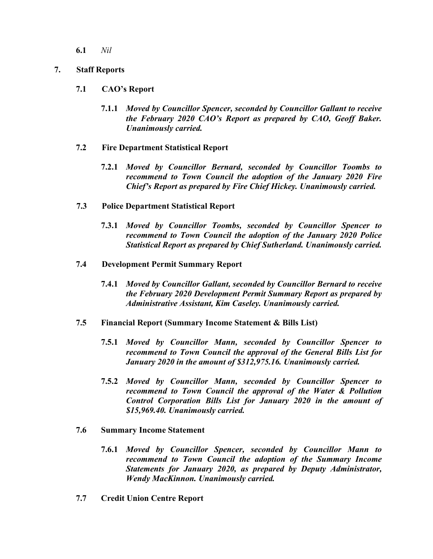**6.1** *Nil*

## **7. Staff Reports**

## **7.1 CAO's Report**

- **7.1.1** *Moved by Councillor Spencer, seconded by Councillor Gallant to receive the February 2020 CAO's Report as prepared by CAO, Geoff Baker. Unanimously carried.*
- **7.2 Fire Department Statistical Report**
	- **7.2.1** *Moved by Councillor Bernard, seconded by Councillor Toombs to recommend to Town Council the adoption of the January 2020 Fire Chief's Report as prepared by Fire Chief Hickey. Unanimously carried.*
- **7.3 Police Department Statistical Report**
	- **7.3.1** *Moved by Councillor Toombs, seconded by Councillor Spencer to recommend to Town Council the adoption of the January 2020 Police Statistical Report as prepared by Chief Sutherland. Unanimously carried.*
- **7.4 Development Permit Summary Report**
	- **7.4.1** *Moved by Councillor Gallant, seconded by Councillor Bernard to receive the February 2020 Development Permit Summary Report as prepared by Administrative Assistant, Kim Caseley. Unanimously carried.*
- **7.5 Financial Report (Summary Income Statement & Bills List)**
	- **7.5.1** *Moved by Councillor Mann, seconded by Councillor Spencer to recommend to Town Council the approval of the General Bills List for January 2020 in the amount of \$312,975.16. Unanimously carried.*
	- **7.5.2** *Moved by Councillor Mann, seconded by Councillor Spencer to recommend to Town Council the approval of the Water & Pollution Control Corporation Bills List for January 2020 in the amount of \$15,969.40. Unanimously carried.*
- **7.6 Summary Income Statement**
	- **7.6.1** *Moved by Councillor Spencer, seconded by Councillor Mann to recommend to Town Council the adoption of the Summary Income Statements for January 2020, as prepared by Deputy Administrator, Wendy MacKinnon. Unanimously carried.*
- **7.7 Credit Union Centre Report**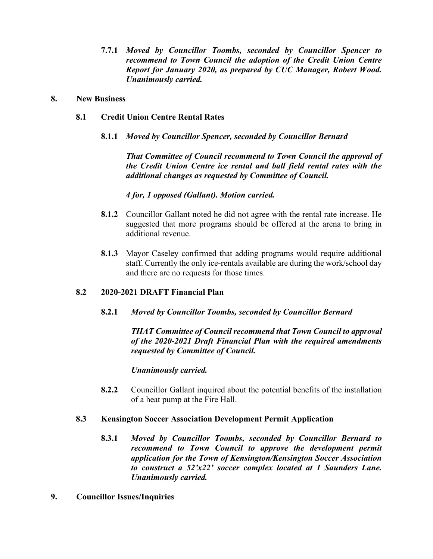**7.7.1** *Moved by Councillor Toombs, seconded by Councillor Spencer to recommend to Town Council the adoption of the Credit Union Centre Report for January 2020, as prepared by CUC Manager, Robert Wood. Unanimously carried.*

#### **8. New Business**

- **8.1 Credit Union Centre Rental Rates**
	- **8.1.1** *Moved by Councillor Spencer, seconded by Councillor Bernard*

*That Committee of Council recommend to Town Council the approval of the Credit Union Centre ice rental and ball field rental rates with the additional changes as requested by Committee of Council.*

*4 for, 1 opposed (Gallant). Motion carried.*

- **8.1.2** Councillor Gallant noted he did not agree with the rental rate increase. He suggested that more programs should be offered at the arena to bring in additional revenue.
- **8.1.3** Mayor Caseley confirmed that adding programs would require additional staff. Currently the only ice-rentals available are during the work/school day and there are no requests for those times.

## **8.2 2020-2021 DRAFT Financial Plan**

**8.2.1** *Moved by Councillor Toombs, seconded by Councillor Bernard*

*THAT Committee of Council recommend that Town Council to approval of the 2020-2021 Draft Financial Plan with the required amendments requested by Committee of Council.* 

*Unanimously carried.* 

**8.2.2** Councillor Gallant inquired about the potential benefits of the installation of a heat pump at the Fire Hall.

## **8.3 Kensington Soccer Association Development Permit Application**

- **8.3.1** *Moved by Councillor Toombs, seconded by Councillor Bernard to*  recommend to Town Council to approve the development permit *application for the Town of Kensington/Kensington Soccer Association to construct a 52'x22' soccer complex located at 1 Saunders Lane. Unanimously carried.*
- **9. Councillor Issues/Inquiries**